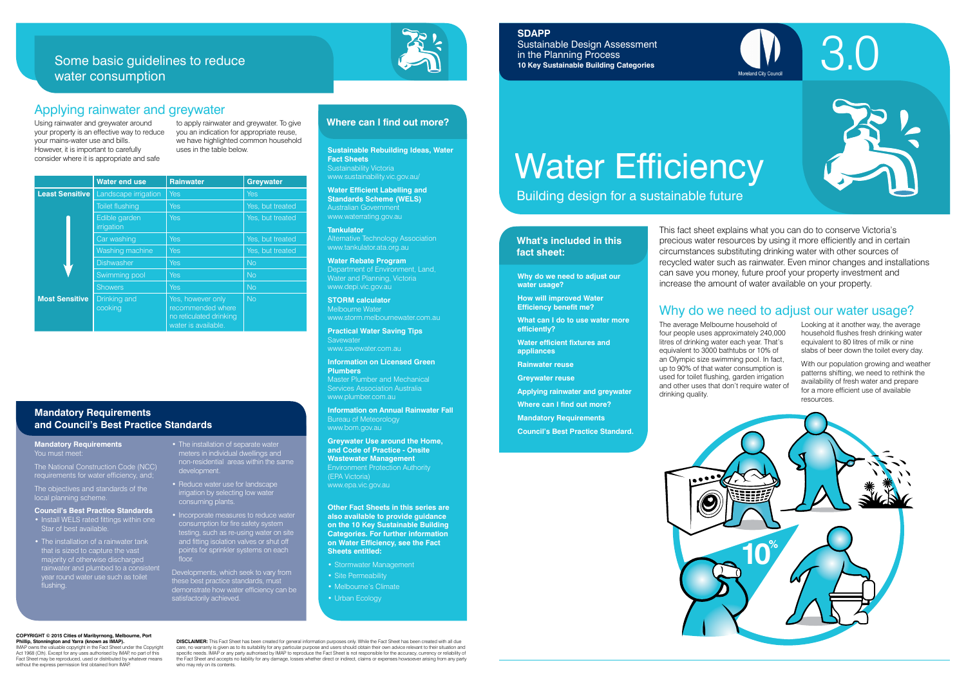Building design for a sustainable future

#### **What's included in this fact sheet:**



The average Melbourne household of four people uses approximately 240,000 litres of drinking water each year. That's equivalent to 3000 bathtubs or 10% of an Olympic size swimming pool. In fact, up to 90% of that water consumption is used for toilet flushing, garden irrigation and other uses that don't require water of drinking quality.

Looking at it another way, the average household flushes fresh drinking water equivalent to 80 litres of milk or nine slabs of beer down the toilet every day.

With our population growing and weather patterns shifting, we need to rethink the availability of fresh water and prepare for a more efficient use of available resources.

# Why do we need to adjust our water usage?

**Why do we need to adjust our water usage?**

**How will improved Water Efficiency benefit me?**

**What can I do to use water more efficiently?**

**Water efficient fixtures and appliances**

**Rainwater reuse**

**Greywater reuse**

**Applying rainwater and greywater**

**Where can I find out more?**

**Mandatory Requirements**

**Greywater Use around the Home, and Code of Practice - Onsite Wastewater Management** Environment Protection Authority (EPA Victoria) www.epa.vic.gov.au

**Council's Best Practice Standard.**



This fact sheet explains what you can do to conserve Victoria's precious water resources by using it more efficiently and in certain circumstances substituting drinking water with other sources of recycled water such as rainwater. Even minor changes and installations can save you money, future proof your property investment and increase the amount of water available on your property.

**Sustainable Rebuilding Ideas, Water Fact Sheets** Sustainability Victoria www.sustainability.vic.gov.au/

**Water Efficient Labelling and Standards Scheme (WELS)** Australian Government www.waterrating.gov.au

**Tankulator**  Alternative Technology Association www.tankulator.ata.org.au

**Water Rebate Program** Department of Environment, Land, Water and Planning, Victoria www.depi.vic.gov.au

**STORM calculator**  Melbourne Water www.storm.melbournewater.com.au

**Practical Water Saving Tips Savewater** www.savewater.com.au

**Information on Licensed Green Plumbers** 

Master Plumber and Mechanical www.plumber.com.au

**Information on Annual Rainwater Fall**  Bureau of Meteorology www.bom.gov.au

#### **Mandatory Requirements** You must meet

**Other Fact Sheets in this series are also available to provide guidance on the 10 Key Sustainable Building Categories. For further information on Water Efficiency, see the Fact Sheets entitled:** 

- Stormwater Management
- Site Permeability
- Melbourne's Climate
- 

• Urban Ecology

#### **Where can I find out more?**

#### **Mandatory Requirements and Council's Best Practice Standards**

- Install WELS rated fittings within one Star of best available
- The installation of a rainwater tank that is sized to capture the vast majority of otherwise discharged rainwater and plumbed to a consistent year round water use such as toilet year room.<br>[flushing]
- The installation of separate water meters in individual dwellings and non-residential areas within the same development.
- Reduce water use for landscape irrigation by selecting low water consuming plants.
- Incorporate measures to reduce water consumption for fire safety system testing, such as re-using water on site and fitting isolation valves or shut off points for sprinkler systems on each floor.

|                        | <b>Water end use</b>        | <b>Rainwater</b>                                                                         | <b>Greywater</b> |
|------------------------|-----------------------------|------------------------------------------------------------------------------------------|------------------|
| <b>Least Sensitive</b> | Landscape irrigation        | Yes                                                                                      | <b>Yes</b>       |
|                        | <b>Toilet flushing</b>      | Yes                                                                                      | Yes, but treated |
|                        | Edible garden<br>irrigation | Yes                                                                                      | Yes, but treated |
|                        | Car washing                 | Yes                                                                                      | Yes, but treated |
|                        | Washing machine             | Yes                                                                                      | Yes, but treated |
|                        | <b>Dishwasher</b>           | Yes                                                                                      | <b>No</b>        |
|                        | Swimming pool               | Yes                                                                                      | <b>No</b>        |
|                        | <b>Showers</b>              | Yes                                                                                      | No               |
| <b>Most Sensitive</b>  | Drinking and<br>cooking     | Yes, however only<br>recommended where<br>no reticulated drinking<br>water is available. | No               |

# Applying rainwater and greywater

# Some basic guidelines to reduce water consumption



Using rainwater and greywater around your property is an effective way to reduce your mains-water use and bills. However, it is important to carefully consider where it is appropriate and safe

to apply rainwater and greywater. To give you an indication for appropriate reuse, we have highlighted common household uses in the table below.

#### **COPYRIGHT © 2015 Cities of Maribyrnong, Melbourne, Port Phillip, Stonnington and Yarra (known as IMAP).**

IMAP owns the valuable copyright in the Fact Sheet under the Copyright Act 1968 (Cth). Except for any uses authorised by IMAP, no part of this Fact Sheet may be reproduced, used or distributed by whatever means without the express permission first obtained from IMAP.

**DISCLAIMER:** This Fact Sheet has been created for general information purposes only. While the Fact Sheet has been created with all due care, no warranty is given as to its suitability for any particular purpose and users should obtain their own advice relevant to their situation and<br>specific needs. IMAP or any party authorised by IMAP to reproduce the Fac the Fact Sheet and accepts no liability for any damage, losses whether direct or indirect, claims or expenses howsoever arising from any party who may rely on its contents.

## **SDAPP**

Sustainable Design Assessment in the Planning Process **10 Key Sustainable Building Categories**

# Water Efficiency

The National Construction Code (NCC) requirements for water efficiency, and;

The objectives and standards of the local planning scheme.

#### **Council's Best Practice Standards**

Developments, which seek to vary from these best practice standards, must demonstrate how water efficiency can be satisfactorily achieved.